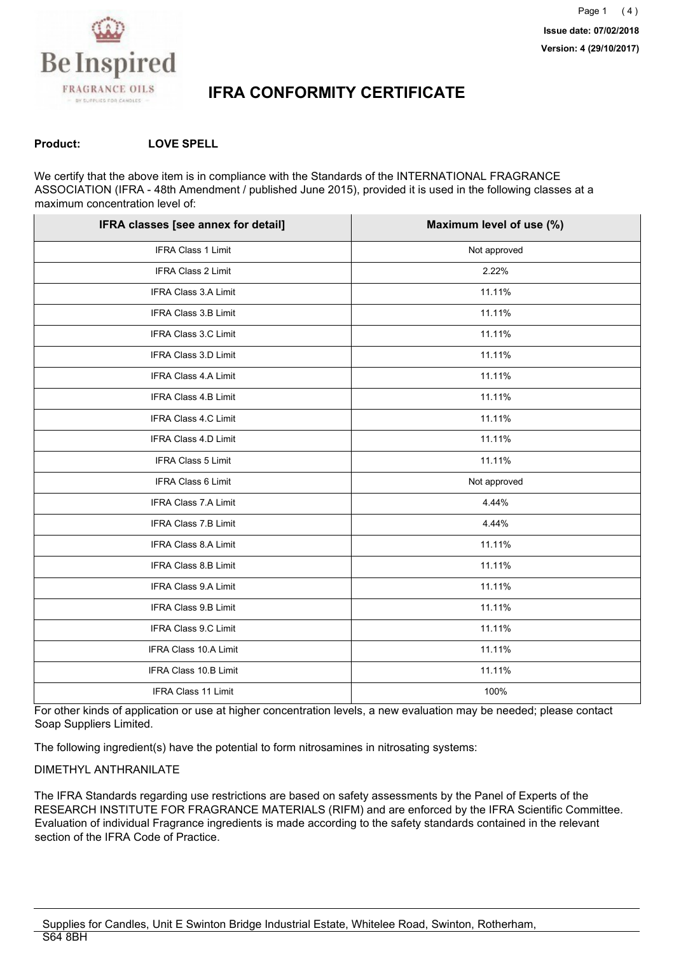

#### **Product: LOVE SPELL**

We certify that the above item is in compliance with the Standards of the INTERNATIONAL FRAGRANCE ASSOCIATION (IFRA - 48th Amendment / published June 2015), provided it is used in the following classes at a maximum concentration level of:

| IFRA classes [see annex for detail] | Maximum level of use (%) |
|-------------------------------------|--------------------------|
| IFRA Class 1 Limit                  | Not approved             |
| IFRA Class 2 Limit                  | 2.22%                    |
| <b>IFRA Class 3.A Limit</b>         | 11.11%                   |
| IFRA Class 3.B Limit                | 11.11%                   |
| IFRA Class 3.C Limit                | 11.11%                   |
| IFRA Class 3.D Limit                | 11.11%                   |
| <b>IFRA Class 4.A Limit</b>         | 11.11%                   |
| <b>IFRA Class 4.B Limit</b>         | 11.11%                   |
| <b>IFRA Class 4.C Limit</b>         | 11.11%                   |
| IFRA Class 4.D Limit                | 11.11%                   |
| IFRA Class 5 Limit                  | 11.11%                   |
| IFRA Class 6 Limit                  | Not approved             |
| IFRA Class 7.A Limit                | 4.44%                    |
| <b>IFRA Class 7.B Limit</b>         | 4.44%                    |
| IFRA Class 8.A Limit                | 11.11%                   |
| IFRA Class 8.B Limit                | 11.11%                   |
| IFRA Class 9.A Limit                | 11.11%                   |
| IFRA Class 9.B Limit                | 11.11%                   |
| IFRA Class 9.C Limit                | 11.11%                   |
| IFRA Class 10.A Limit               | 11.11%                   |
| IFRA Class 10.B Limit               | 11.11%                   |
| <b>IFRA Class 11 Limit</b>          | 100%                     |

For other kinds of application or use at higher concentration levels, a new evaluation may be needed; please contact Soap Suppliers Limited.

The following ingredient(s) have the potential to form nitrosamines in nitrosating systems:

#### DIMETHYL ANTHRANILATE

The IFRA Standards regarding use restrictions are based on safety assessments by the Panel of Experts of the RESEARCH INSTITUTE FOR FRAGRANCE MATERIALS (RIFM) and are enforced by the IFRA Scientific Committee. Evaluation of individual Fragrance ingredients is made according to the safety standards contained in the relevant section of the IFRA Code of Practice.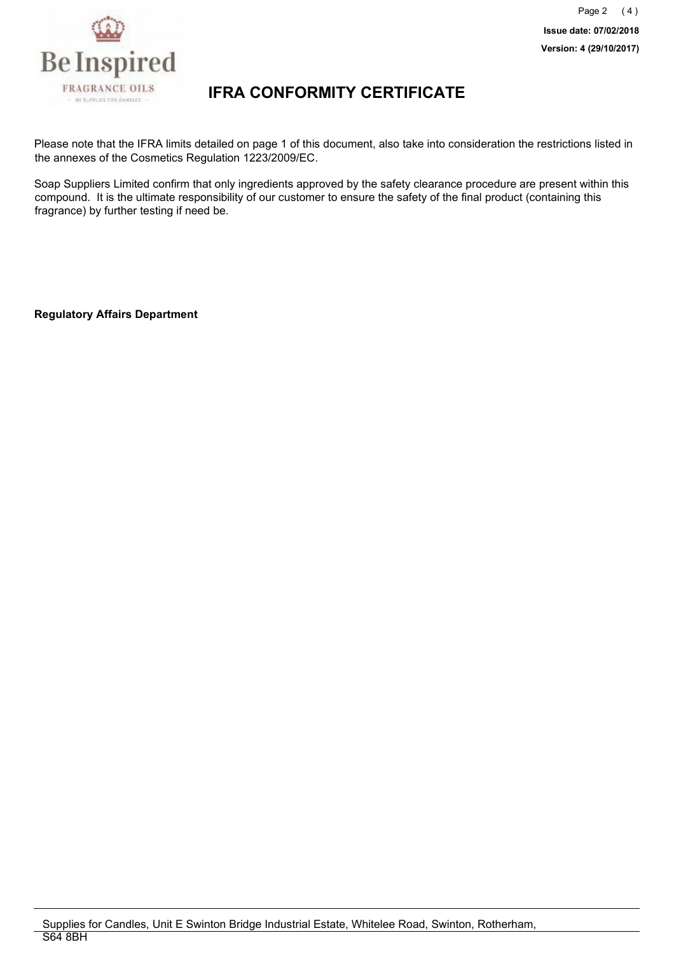

Please note that the IFRA limits detailed on page 1 of this document, also take into consideration the restrictions listed in the annexes of the Cosmetics Regulation 1223/2009/EC.

Soap Suppliers Limited confirm that only ingredients approved by the safety clearance procedure are present within this compound. It is the ultimate responsibility of our customer to ensure the safety of the final product (containing this fragrance) by further testing if need be.

**Regulatory Affairs Department**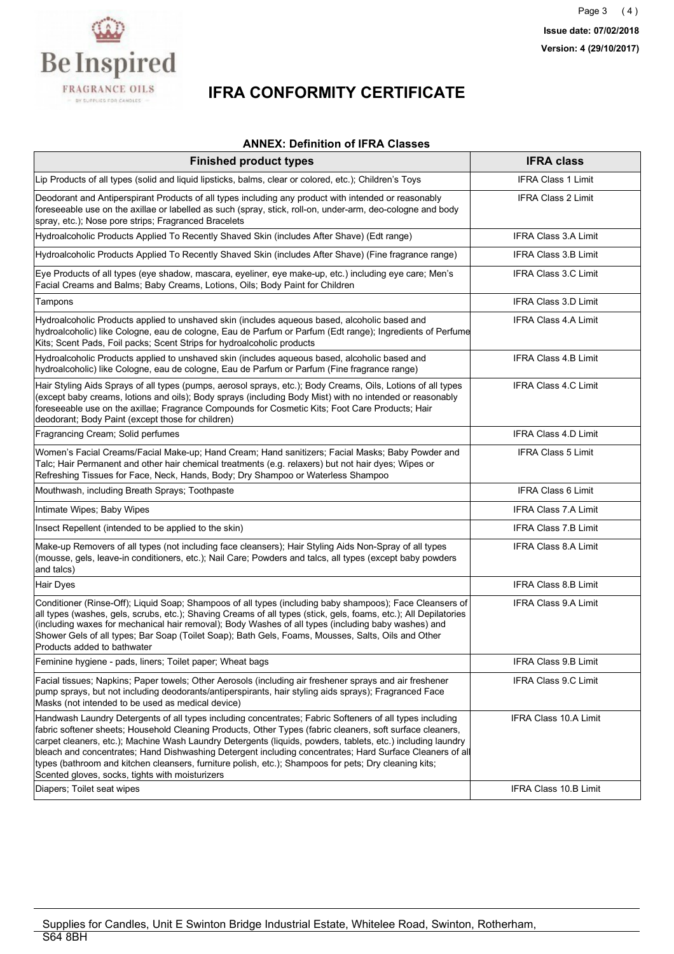

#### **ANNEX: Definition of IFRA Classes**

| <b>Finished product types</b>                                                                                                                                                                                                                                                                                                                                                                                                                                                                                                                                                                                | <b>IFRA class</b>            |
|--------------------------------------------------------------------------------------------------------------------------------------------------------------------------------------------------------------------------------------------------------------------------------------------------------------------------------------------------------------------------------------------------------------------------------------------------------------------------------------------------------------------------------------------------------------------------------------------------------------|------------------------------|
| Lip Products of all types (solid and liquid lipsticks, balms, clear or colored, etc.); Children's Toys                                                                                                                                                                                                                                                                                                                                                                                                                                                                                                       | <b>IFRA Class 1 Limit</b>    |
| Deodorant and Antiperspirant Products of all types including any product with intended or reasonably<br>foreseeable use on the axillae or labelled as such (spray, stick, roll-on, under-arm, deo-cologne and body<br>spray, etc.); Nose pore strips; Fragranced Bracelets                                                                                                                                                                                                                                                                                                                                   | IFRA Class 2 Limit           |
| Hydroalcoholic Products Applied To Recently Shaved Skin (includes After Shave) (Edt range)                                                                                                                                                                                                                                                                                                                                                                                                                                                                                                                   | <b>IFRA Class 3.A Limit</b>  |
| Hydroalcoholic Products Applied To Recently Shaved Skin (includes After Shave) (Fine fragrance range)                                                                                                                                                                                                                                                                                                                                                                                                                                                                                                        | <b>IFRA Class 3.B Limit</b>  |
| Eye Products of all types (eye shadow, mascara, eyeliner, eye make-up, etc.) including eye care; Men's<br>Facial Creams and Balms; Baby Creams, Lotions, Oils; Body Paint for Children                                                                                                                                                                                                                                                                                                                                                                                                                       | IFRA Class 3.C Limit         |
| Tampons                                                                                                                                                                                                                                                                                                                                                                                                                                                                                                                                                                                                      | <b>IFRA Class 3.D Limit</b>  |
| Hydroalcoholic Products applied to unshaved skin (includes aqueous based, alcoholic based and<br>hydroalcoholic) like Cologne, eau de cologne, Eau de Parfum or Parfum (Edt range); Ingredients of Perfume<br>Kits; Scent Pads, Foil packs; Scent Strips for hydroalcoholic products                                                                                                                                                                                                                                                                                                                         | <b>IFRA Class 4 A Limit</b>  |
| Hydroalcoholic Products applied to unshaved skin (includes aqueous based, alcoholic based and<br>hydroalcoholic) like Cologne, eau de cologne, Eau de Parfum or Parfum (Fine fragrance range)                                                                                                                                                                                                                                                                                                                                                                                                                | <b>IFRA Class 4.B Limit</b>  |
| Hair Styling Aids Sprays of all types (pumps, aerosol sprays, etc.); Body Creams, Oils, Lotions of all types<br>(except baby creams, lotions and oils); Body sprays (including Body Mist) with no intended or reasonably<br>foreseeable use on the axillae; Fragrance Compounds for Cosmetic Kits; Foot Care Products; Hair<br>deodorant; Body Paint (except those for children)                                                                                                                                                                                                                             | <b>IFRA Class 4.C Limit</b>  |
| Fragrancing Cream; Solid perfumes                                                                                                                                                                                                                                                                                                                                                                                                                                                                                                                                                                            | <b>IFRA Class 4.D Limit</b>  |
| Women's Facial Creams/Facial Make-up; Hand Cream; Hand sanitizers; Facial Masks; Baby Powder and<br>Talc; Hair Permanent and other hair chemical treatments (e.g. relaxers) but not hair dyes; Wipes or<br>Refreshing Tissues for Face, Neck, Hands, Body; Dry Shampoo or Waterless Shampoo                                                                                                                                                                                                                                                                                                                  | <b>IFRA Class 5 Limit</b>    |
| Mouthwash, including Breath Sprays; Toothpaste                                                                                                                                                                                                                                                                                                                                                                                                                                                                                                                                                               | <b>IFRA Class 6 Limit</b>    |
| Intimate Wipes; Baby Wipes                                                                                                                                                                                                                                                                                                                                                                                                                                                                                                                                                                                   | <b>IFRA Class 7.A Limit</b>  |
| Insect Repellent (intended to be applied to the skin)                                                                                                                                                                                                                                                                                                                                                                                                                                                                                                                                                        | <b>IFRA Class 7.B Limit</b>  |
| Make-up Removers of all types (not including face cleansers); Hair Styling Aids Non-Spray of all types<br>(mousse, gels, leave-in conditioners, etc.); Nail Care; Powders and talcs, all types (except baby powders<br>and talcs)                                                                                                                                                                                                                                                                                                                                                                            | IFRA Class 8.A Limit         |
| Hair Dyes                                                                                                                                                                                                                                                                                                                                                                                                                                                                                                                                                                                                    | <b>IFRA Class 8.B Limit</b>  |
| Conditioner (Rinse-Off); Liquid Soap; Shampoos of all types (including baby shampoos); Face Cleansers of<br>all types (washes, gels, scrubs, etc.); Shaving Creams of all types (stick, gels, foams, etc.); All Depilatories<br>(including waxes for mechanical hair removal); Body Washes of all types (including baby washes) and<br>Shower Gels of all types; Bar Soap (Toilet Soap); Bath Gels, Foams, Mousses, Salts, Oils and Other<br>Products added to bathwater                                                                                                                                     | <b>IFRA Class 9.A Limit</b>  |
| Feminine hygiene - pads, liners; Toilet paper; Wheat bags                                                                                                                                                                                                                                                                                                                                                                                                                                                                                                                                                    | IFRA Class 9.B Limit         |
| Facial tissues; Napkins; Paper towels; Other Aerosols (including air freshener sprays and air freshener<br>pump sprays, but not including deodorants/antiperspirants, hair styling aids sprays); Fragranced Face<br>Masks (not intended to be used as medical device)                                                                                                                                                                                                                                                                                                                                        | IFRA Class 9.C Limit         |
| Handwash Laundry Detergents of all types including concentrates; Fabric Softeners of all types including<br>fabric softener sheets; Household Cleaning Products, Other Types (fabric cleaners, soft surface cleaners,<br>carpet cleaners, etc.); Machine Wash Laundry Detergents (liquids, powders, tablets, etc.) including laundry<br>bleach and concentrates; Hand Dishwashing Detergent including concentrates; Hard Surface Cleaners of all<br>types (bathroom and kitchen cleansers, furniture polish, etc.); Shampoos for pets; Dry cleaning kits;<br>Scented gloves, socks, tights with moisturizers | <b>IFRA Class 10.A Limit</b> |
| Diapers; Toilet seat wipes                                                                                                                                                                                                                                                                                                                                                                                                                                                                                                                                                                                   | <b>IFRA Class 10.B Limit</b> |